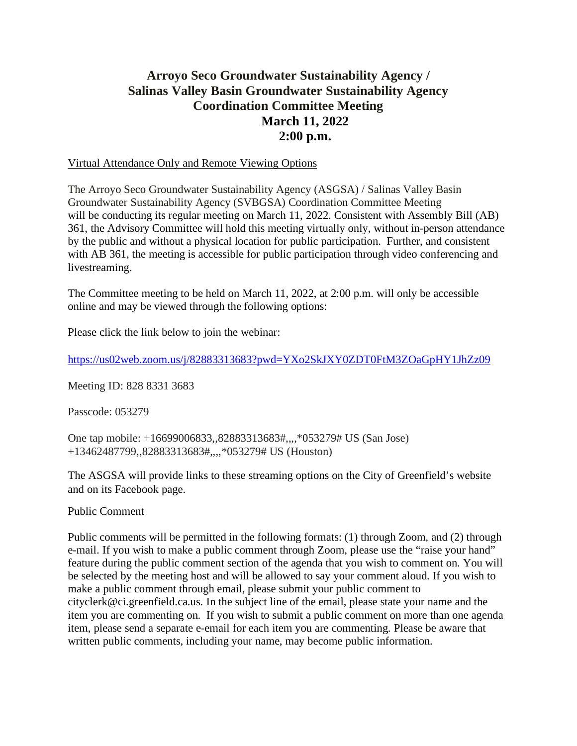## **Arroyo Seco Groundwater Sustainability Agency / Salinas Valley Basin Groundwater Sustainability Agency Coordination Committee Meeting March 11, 2022 2:00 p.m.**

## Virtual Attendance Only and Remote Viewing Options

The Arroyo Seco Groundwater Sustainability Agency (ASGSA) / Salinas Valley Basin Groundwater Sustainability Agency (SVBGSA) Coordination Committee Meeting will be conducting its regular meeting on March 11, 2022. Consistent with Assembly Bill (AB) 361, the Advisory Committee will hold this meeting virtually only, without in-person attendance by the public and without a physical location for public participation. Further, and consistent with AB 361, the meeting is accessible for public participation through video conferencing and livestreaming.

The Committee meeting to be held on March 11, 2022, at 2:00 p.m. will only be accessible online and may be viewed through the following options:

Please click the link below to join the webinar:

[https://us02web.zoom.us/j/82883313683?pwd=YXo2SkJXY0ZDT0FtM3ZOaGpHY1JhZz09](https://gcc02.safelinks.protection.outlook.com/?url=https%3A%2F%2Fwww.google.com%2Furl%3Fq%3Dhttps%253A%252F%252Fus02web.zoom.us%252Fj%252F82883313683%253Fpwd%253DYXo2SkJXY0ZDT0FtM3ZOaGpHY1JhZz09%26sa%3DD%26ust%3D1646178782342000%26usg%3DAOvVaw2d3GZfr2ttQzjA0MventjE&data=04%7C01%7Carathbun%40ci.greenfield.ca.us%7C3fa77668350145ab2eed08da01135a56%7C52adf9cdcd76407fa0a4fe337a2cafc6%7C0%7C0%7C637823479889097804%7CUnknown%7CTWFpbGZsb3d8eyJWIjoiMC4wLjAwMDAiLCJQIjoiV2luMzIiLCJBTiI6Ik1haWwiLCJXVCI6Mn0%3D%7C3000&sdata=Z1fgCbvGtvXzFURPF4ump168cRkW%2FhkaKKzkaYJOuc8%3D&reserved=0)

Meeting ID: 828 8331 3683

Passcode: 053279

One tap mobile: +16699006833,,82883313683#,,,,\*053279# US (San Jose) +13462487799,,82883313683#,,,,\*053279# US (Houston)

The ASGSA will provide links to these streaming options on the City of Greenfield's website and on its Facebook page.

#### Public Comment

Public comments will be permitted in the following formats: (1) through Zoom, and (2) through e-mail. If you wish to make a public comment through Zoom, please use the "raise your hand" feature during the public comment section of the agenda that you wish to comment on. You will be selected by the meeting host and will be allowed to say your comment aloud. If you wish to make a public comment through email, please submit your public comment to cityclerk@ci.greenfield.ca.us. In the subject line of the email, please state your name and the item you are commenting on. If you wish to submit a public comment on more than one agenda item, please send a separate e-email for each item you are commenting. Please be aware that written public comments, including your name, may become public information.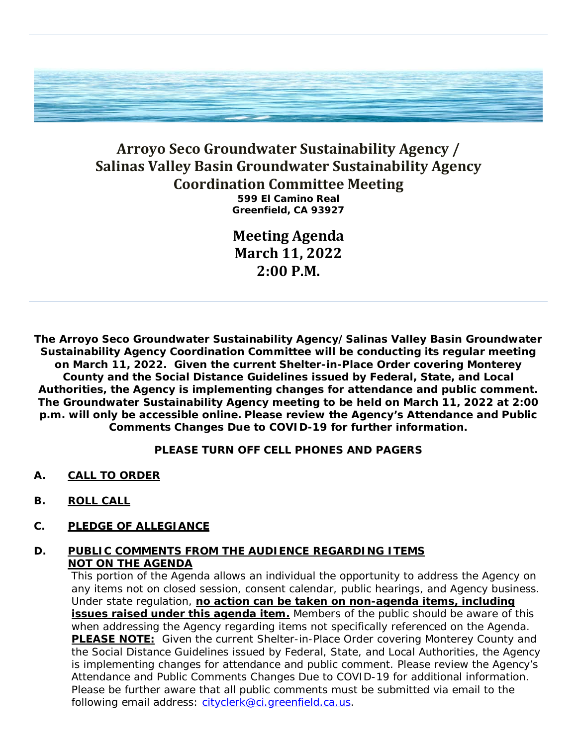

# **Arroyo Seco Groundwater Sustainability Agency / Salinas Valley Basin Groundwater Sustainability Agency Coordination Committee Meeting**

**599 El Camino Real Greenfield, CA 93927**

**Meeting Agenda March 11, 2022 2:00 P.M.**

**The Arroyo Seco Groundwater Sustainability Agency/Salinas Valley Basin Groundwater Sustainability Agency Coordination Committee will be conducting its regular meeting on March 11, 2022. Given the current Shelter-in-Place Order covering Monterey County and the Social Distance Guidelines issued by Federal, State, and Local Authorities, the Agency is implementing changes for attendance and public comment. The Groundwater Sustainability Agency meeting to be held on March 11, 2022 at 2:00 p.m. will only be accessible online. Please review the Agency's Attendance and Public Comments Changes Due to COVID-19 for further information.** 

## **PLEASE TURN OFF CELL PHONES AND PAGERS**

- **A. CALL TO ORDER**
- **B. ROLL CALL**
- **C. PLEDGE OF ALLEGIANCE**

## **D. PUBLIC COMMENTS FROM THE AUDIENCE REGARDING ITEMS NOT ON THE AGENDA**

This portion of the Agenda allows an individual the opportunity to address the Agency on any items not on closed session, consent calendar, public hearings, and Agency business. Under state regulation, **no action can be taken on non-agenda items, including issues raised under this agenda item.** Members of the public should be aware of this when addressing the Agency regarding items not specifically referenced on the Agenda. **PLEASE NOTE:** Given the current Shelter-in-Place Order covering Monterey County and the Social Distance Guidelines issued by Federal, State, and Local Authorities, the Agency is implementing changes for attendance and public comment. Please review the Agency's Attendance and Public Comments Changes Due to COVID-19 for additional information. Please be further aware that all public comments must be submitted via email to the following email address: [cityclerk@ci.greenfield.ca.us.](mailto:cityclerk@ci.greenfield.ca.us)